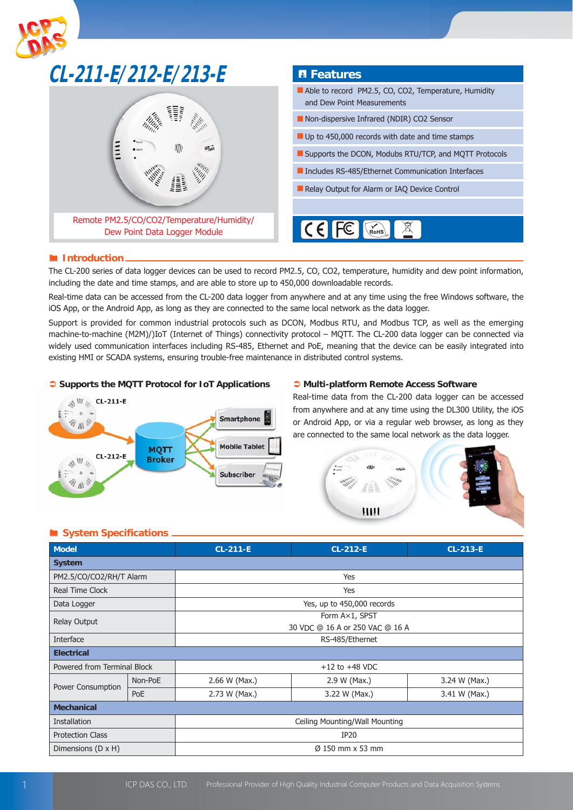

#### ® **Introduction**

The CL-200 series of data logger devices can be used to record PM2.5, CO, CO2, temperature, humidity and dew point information, including the date and time stamps, and are able to store up to 450,000 downloadable records.

Real-time data can be accessed from the CL-200 data logger from anywhere and at any time using the free Windows software, the iOS App, or the Android App, as long as they are connected to the same local network as the data logger.

Support is provided for common industrial protocols such as DCON, Modbus RTU, and Modbus TCP, as well as the emerging machine-to-machine (M2M)/)IoT (Internet of Things) connectivity protocol – MQTT. The CL-200 data logger can be connected via widely used communication interfaces including RS-485, Ethernet and PoE, meaning that the device can be easily integrated into existing HMI or SCADA systems, ensuring trouble-free maintenance in distributed control systems.

#### $\supset$  **Supports the MQTT Protocol for IoT Applications**

# Â **Multi-platform Remote Access Software**



Real-time data from the CL-200 data logger can be accessed from anywhere and at any time using the DL300 Utility, the iOS or Android App, or via a regular web browser, as long as they are connected to the same local network as the data logger.



#### ■ System Specifications

| Model                       |         | <b>CL-211-E</b>                 | <b>CL-212-E</b> | <b>CL-213-E</b> |  |
|-----------------------------|---------|---------------------------------|-----------------|-----------------|--|
| <b>System</b>               |         |                                 |                 |                 |  |
| PM2.5/CO/CO2/RH/T Alarm     |         | Yes                             |                 |                 |  |
| Real Time Clock             |         | Yes                             |                 |                 |  |
| Data Logger                 |         | Yes, up to 450,000 records      |                 |                 |  |
| <b>Relay Output</b>         |         | Form A×1, SPST                  |                 |                 |  |
|                             |         | 30 VDC @ 16 A or 250 VAC @ 16 A |                 |                 |  |
| Interface                   |         | RS-485/Ethernet                 |                 |                 |  |
| <b>Electrical</b>           |         |                                 |                 |                 |  |
| Powered from Terminal Block |         | $+12$ to $+48$ VDC              |                 |                 |  |
| Power Consumption           | Non-PoE | 2.66 W (Max.)                   | 2.9 W (Max.)    | 3.24 W (Max.)   |  |
|                             | PoE     | 2.73 W (Max.)                   | 3.22 W (Max.)   | 3.41 W (Max.)   |  |
| <b>Mechanical</b>           |         |                                 |                 |                 |  |
| Installation                |         | Ceiling Mounting/Wall Mounting  |                 |                 |  |
| <b>Protection Class</b>     |         | <b>IP20</b>                     |                 |                 |  |
| Dimensions (D x H)          |         | $\varnothing$ 150 mm x 53 mm    |                 |                 |  |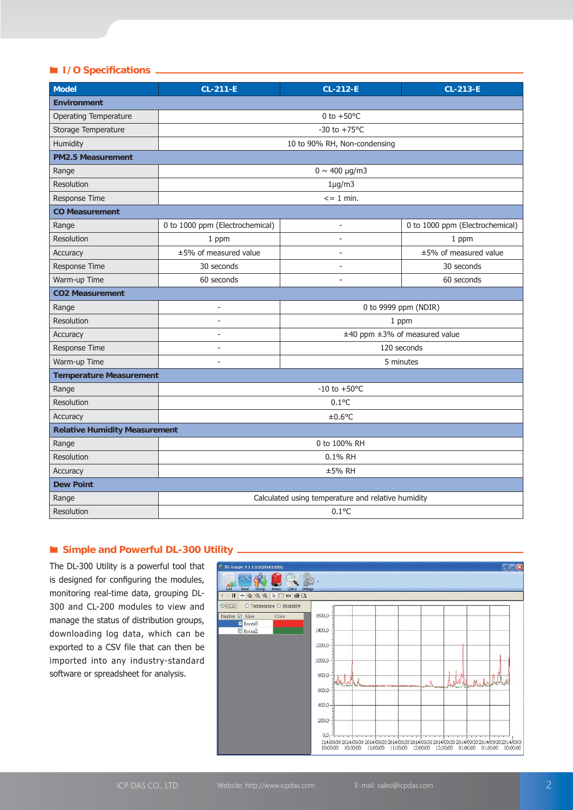# $\blacksquare$  **I/O Specifications**.

| <b>Model</b>                         | <b>CL-211-E</b>                                    | <b>CL-212-E</b> | <b>CL-213-E</b>                 |  |  |
|--------------------------------------|----------------------------------------------------|-----------------|---------------------------------|--|--|
| <b>Environment</b>                   |                                                    |                 |                                 |  |  |
| <b>Operating Temperature</b>         | 0 to $+50^{\circ}$ C                               |                 |                                 |  |  |
| Storage Temperature                  | $-30$ to $+75$ °C                                  |                 |                                 |  |  |
| Humidity                             | 10 to 90% RH, Non-condensing                       |                 |                                 |  |  |
| <b>PM2.5 Measurement</b>             |                                                    |                 |                                 |  |  |
| Range                                | $0 \sim 400 \text{ µg/m3}$                         |                 |                                 |  |  |
| Resolution                           | $1 \mu g/m3$                                       |                 |                                 |  |  |
| Response Time                        | $\leq$ = 1 min.                                    |                 |                                 |  |  |
| <b>CO Measurement</b>                |                                                    |                 |                                 |  |  |
| Range                                | 0 to 1000 ppm (Electrochemical)                    | $\overline{a}$  | 0 to 1000 ppm (Electrochemical) |  |  |
| Resolution                           | 1 ppm                                              |                 | 1 ppm                           |  |  |
| Accuracy                             | ±5% of measured value                              |                 | ±5% of measured value           |  |  |
| Response Time                        | 30 seconds                                         | ÷,              | 30 seconds                      |  |  |
| Warm-up Time                         | 60 seconds                                         |                 | 60 seconds                      |  |  |
| <b>CO2 Measurement</b>               |                                                    |                 |                                 |  |  |
| Range                                | 0 to 9999 ppm (NDIR)<br>$\overline{a}$             |                 |                                 |  |  |
| Resolution                           | 1 ppm                                              |                 |                                 |  |  |
| Accuracy                             | ±40 ppm ±3% of measured value<br>٠                 |                 |                                 |  |  |
| Response Time                        | ٠                                                  |                 | 120 seconds                     |  |  |
| Warm-up Time                         | 5 minutes                                          |                 |                                 |  |  |
| <b>Temperature Measurement</b>       |                                                    |                 |                                 |  |  |
| Range                                | $-10$ to $+50$ °C                                  |                 |                                 |  |  |
| <b>Resolution</b>                    | $0.1$ °C                                           |                 |                                 |  |  |
| Accuracy                             | $±0.6$ °C                                          |                 |                                 |  |  |
| <b>Relative Humidity Measurement</b> |                                                    |                 |                                 |  |  |
| Range                                | 0 to 100% RH                                       |                 |                                 |  |  |
| Resolution                           | 0.1% RH                                            |                 |                                 |  |  |
| Accuracy                             | ±5% RH                                             |                 |                                 |  |  |
| <b>Dew Point</b>                     |                                                    |                 |                                 |  |  |
| Range                                | Calculated using temperature and relative humidity |                 |                                 |  |  |
| Resolution                           | $0.1$ °C                                           |                 |                                 |  |  |

# ® **Simple and Powerful DL-300 Utility**

The DL-300 Utility is a powerful tool that is designed for configuring the modules, monitoring real-time data, grouping DL-300 and CL-200 modules to view and manage the status of distribution groups, downloading log data, which can be exported to a CSV file that can then be imported into any industry-standard software or spreadsheet for analysis.

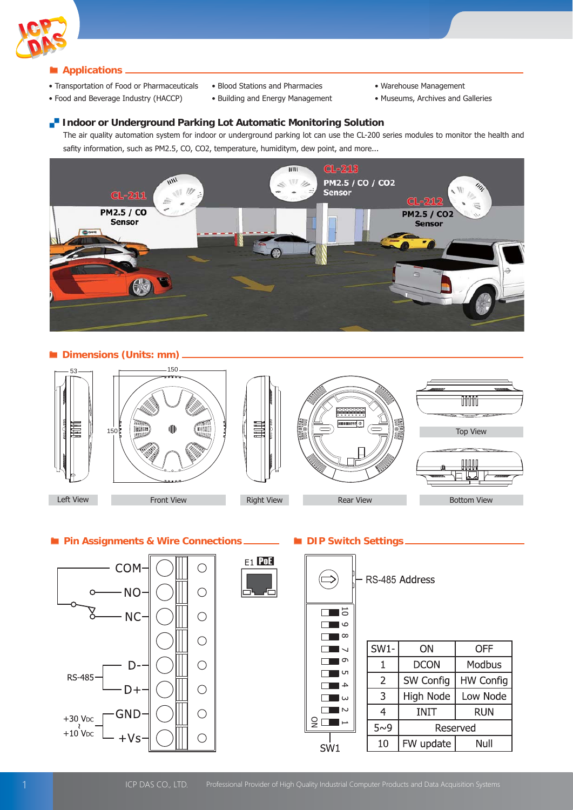

# ® **Applications**

- Transportation of Food or Pharmaceuticals
- Food and Beverage Industry (HACCP)
- Blood Stations and Pharmacies
- Building and Energy Management
- Warehouse Management
- Museums, Archives and Galleries

#### **Indoor or Underground Parking Lot Automatic Monitoring Solution**

The air quality automation system for indoor or underground parking lot can use the CL-200 series modules to monitor the health and safity information, such as PM2.5, CO, CO2, temperature, humiditym, dew point, and more...



#### ® **Dimensions (Units: mm)**



# ■ Pin Assignments & Wire Connections ■ **DIP Switch Settings**





# ᆩ

|   |            |     |                | RS-485 Address |                  |
|---|------------|-----|----------------|----------------|------------------|
| П | 5          |     |                |                |                  |
|   | 9          |     |                |                |                  |
|   | $\infty$   |     |                |                |                  |
|   | ↘          |     | $SW1 -$        | ON             | <b>OFF</b>       |
|   | ᡡ          |     | 1              | <b>DCON</b>    | Modbus           |
|   | UП<br>4    |     | $\overline{2}$ | SW Config      | <b>HW Config</b> |
|   | ω          |     | 3              | High Node      | Low Node         |
|   | $\sim$     |     | 4              | <b>INIT</b>    | <b>RUN</b>       |
|   |            | 5~9 |                |                | Reserved         |
|   | <b>SW1</b> |     | 10             | FW update      | Null             |

ON